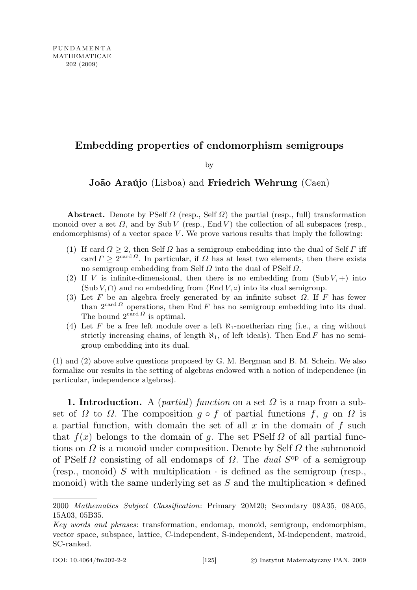## Embedding properties of endomorphism semigroups

by

João Araújo (Lisboa) and Friedrich Wehrung (Caen)

Abstract. Denote by PSelf  $\Omega$  (resp., Self  $\Omega$ ) the partial (resp., full) transformation monoid over a set  $\Omega$ , and by Sub V (resp., End V) the collection of all subspaces (resp., endomorphisms) of a vector space  $V$ . We prove various results that imply the following:

- (1) If card  $\Omega > 2$ , then Self  $\Omega$  has a semigroup embedding into the dual of Self  $\Gamma$  iff card  $\Gamma \geq 2^{\text{card } \Omega}$ . In particular, if  $\Omega$  has at least two elements, then there exists no semigroup embedding from Self  $\Omega$  into the dual of PSelf  $\Omega$ .
- (2) If V is infinite-dimensional, then there is no embedding from  $(Sub V, +)$  into  $(Sub V, \cap)$  and no embedding from  $(End V, \circ)$  into its dual semigroup.
- (3) Let F be an algebra freely generated by an infinite subset  $\Omega$ . If F has fewer than  $2^{card\Omega}$  operations, then End F has no semigroup embedding into its dual. The bound  $2^{\text{card } \Omega}$  is optimal.
- (4) Let F be a free left module over a left  $\aleph_1$ -noetherian ring (i.e., a ring without strictly increasing chains, of length  $\aleph_1$ , of left ideals). Then End F has no semigroup embedding into its dual.

(1) and (2) above solve questions proposed by G. M. Bergman and B. M. Schein. We also formalize our results in the setting of algebras endowed with a notion of independence (in particular, independence algebras).

1. Introduction. A (partial) function on a set  $\Omega$  is a map from a subset of  $\Omega$  to  $\Omega$ . The composition  $g \circ f$  of partial functions  $f, g$  on  $\Omega$  is a partial function, with domain the set of all  $x$  in the domain of  $f$  such that  $f(x)$  belongs to the domain of q. The set PSelf  $\Omega$  of all partial functions on  $\Omega$  is a monoid under composition. Denote by Self  $\Omega$  the submonoid of PSelf  $\Omega$  consisting of all endomaps of  $\Omega$ . The *dual*  $S^{op}$  of a semigroup (resp., monoid) S with multiplication  $\cdot$  is defined as the semigroup (resp., monoid) with the same underlying set as S and the multiplication  $*$  defined

<sup>2000</sup> Mathematics Subject Classification: Primary 20M20; Secondary 08A35, 08A05, 15A03, 05B35.

Key words and phrases: transformation, endomap, monoid, semigroup, endomorphism, vector space, subspace, lattice, C-independent, S-independent, M-independent, matroid, SC-ranked.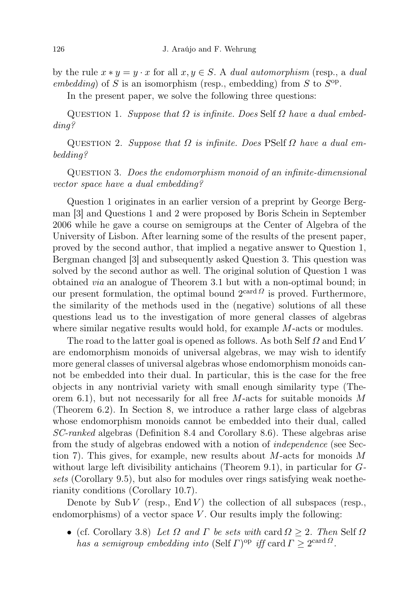by the rule  $x * y = y \cdot x$  for all  $x, y \in S$ . A *dual automorphism* (resp., a *dual* embedding) of S is an isomorphism (resp., embedding) from S to  $S^{\rm op}$ .

In the present paper, we solve the following three questions:

QUESTION 1. Suppose that  $\Omega$  is infinite. Does Self  $\Omega$  have a dual embedding?

QUESTION 2. Suppose that  $\Omega$  is infinite. Does PSelf  $\Omega$  have a dual embedding?

Question 3. Does the endomorphism monoid of an infinite-dimensional vector space have a dual embedding?

Question 1 originates in an earlier version of a preprint by George Bergman [3] and Questions 1 and 2 were proposed by Boris Schein in September 2006 while he gave a course on semigroups at the Center of Algebra of the University of Lisbon. After learning some of the results of the present paper, proved by the second author, that implied a negative answer to Question 1, Bergman changed [3] and subsequently asked Question 3. This question was solved by the second author as well. The original solution of Question 1 was obtained via an analogue of Theorem 3.1 but with a non-optimal bound; in our present formulation, the optimal bound  $2^{\text{card } \Omega}$  is proved. Furthermore, the similarity of the methods used in the (negative) solutions of all these questions lead us to the investigation of more general classes of algebras where similar negative results would hold, for example M-acts or modules.

The road to the latter goal is opened as follows. As both Self  $\Omega$  and End V are endomorphism monoids of universal algebras, we may wish to identify more general classes of universal algebras whose endomorphism monoids cannot be embedded into their dual. In particular, this is the case for the free objects in any nontrivial variety with small enough similarity type (Theorem 6.1), but not necessarily for all free  $M$ -acts for suitable monoids  $M$ (Theorem 6.2). In Section 8, we introduce a rather large class of algebras whose endomorphism monoids cannot be embedded into their dual, called SC-ranked algebras (Definition 8.4 and Corollary 8.6). These algebras arise from the study of algebras endowed with a notion of independence (see Section 7). This gives, for example, new results about  $M$ -acts for monoids  $M$ without large left divisibility antichains (Theorem 9.1), in particular for Gsets (Corollary 9.5), but also for modules over rings satisfying weak noetherianity conditions (Corollary 10.7).

Denote by  $\text{Sub } V$  (resp.,  $\text{End } V$ ) the collection of all subspaces (resp., endomorphisms) of a vector space  $V$ . Our results imply the following:

• (cf. Corollary 3.8) Let  $\Omega$  and  $\Gamma$  be sets with card  $\Omega \geq 2$ . Then Self  $\Omega$ has a semigroup embedding into (Self  $\Gamma$ )<sup>op</sup> iff card  $\Gamma \geq 2^{\text{card } \Omega}$ .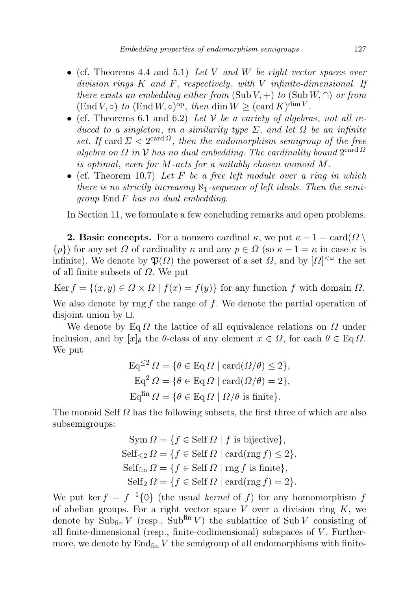- (cf. Theorems 4.4 and 5.1) Let V and W be right vector spaces over division rings  $K$  and  $F$ , respectively, with  $V$  infinite-dimensional. If there exists an embedding either from  $(Sub V, +)$  to  $(Sub W, \cap)$  or from  $(\text{End }V, \circ)$  to  $(\text{End }W, \circ)^{\text{op}}, \text{ then } \dim W \geq (\text{card }K)^{\dim V}.$
- (cf. Theorems 6.1 and 6.2) Let V be a variety of algebras, not all reduced to a singleton, in a similarity type  $\Sigma$ , and let  $\Omega$  be an infinite set. If card  $\Sigma < 2^{\text{card } \Omega}$ , then the endomorphism semigroup of the free algebra on  $\Omega$  in  $\mathcal V$  has no dual embedding. The cardinality bound  $2^{\text{card }\Omega}$ is optimal, even for M-acts for a suitably chosen monoid M.
- (cf. Theorem 10.7) Let F be a free left module over a ring in which there is no strictly increasing  $\aleph_1$ -sequence of left ideals. Then the semi $group End F$  has no dual embedding.

In Section 11, we formulate a few concluding remarks and open problems.

**2. Basic concepts.** For a nonzero cardinal  $\kappa$ , we put  $\kappa - 1 = \text{card}(\Omega)$  $\{p\}$  for any set  $\Omega$  of cardinality  $\kappa$  and any  $p \in \Omega$  (so  $\kappa - 1 = \kappa$  in case  $\kappa$  is infinite). We denote by  $\mathfrak{P}(\Omega)$  the powerset of a set  $\Omega$ , and by  $[\Omega]^{<\omega}$  the set of all finite subsets of  $\Omega$ . We put

Ker  $f = \{(x, y) \in \Omega \times \Omega \mid f(x) = f(y)\}\$ for any function f with domain  $\Omega$ . We also denote by rng f the range of f. We denote the partial operation of disjoint union by  $\sqcup$ .

We denote by Eq  $\Omega$  the lattice of all equivalence relations on  $\Omega$  under inclusion, and by  $[x]_\theta$  the  $\theta$ -class of any element  $x \in \Omega$ , for each  $\theta \in Eq \Omega$ . We put

$$
Eq^{\leq 2} \Omega = \{ \theta \in Eq \Omega \mid \text{card}(\Omega/\theta) \leq 2 \},
$$
  
\n
$$
Eq^2 \Omega = \{ \theta \in Eq \Omega \mid \text{card}(\Omega/\theta) = 2 \},
$$
  
\n
$$
Eq^{\text{fin}} \Omega = \{ \theta \in Eq \Omega \mid \Omega/\theta \text{ is finite} \}.
$$

The monoid Self  $\Omega$  has the following subsets, the first three of which are also subsemigroups:

$$
\text{Sym }\Omega = \{f \in \text{Self }\Omega \mid f \text{ is bijective}\},\
$$

$$
\text{Self}_{\leq 2 }\Omega = \{f \in \text{Self }\Omega \mid \text{card}(\text{rng }f) \leq 2\},\
$$

$$
\text{Self}_{\text{fin }}\Omega = \{f \in \text{Self }\Omega \mid \text{rng }f \text{ is finite}\},\
$$

$$
\text{Self}_2 \Omega = \{f \in \text{Self }\Omega \mid \text{card}(\text{rng }f) = 2\}.
$$

We put ker  $f = f^{-1}\{0\}$  (the usual kernel of f) for any homomorphism f of abelian groups. For a right vector space  $V$  over a division ring  $K$ , we denote by Subfin V (resp., Subfin V) the sublattice of Sub V consisting of all finite-dimensional (resp., finite-codimensional) subspaces of  $V$ . Furthermore, we denote by  $\text{End}_{\text{fin}} V$  the semigroup of all endomorphisms with finite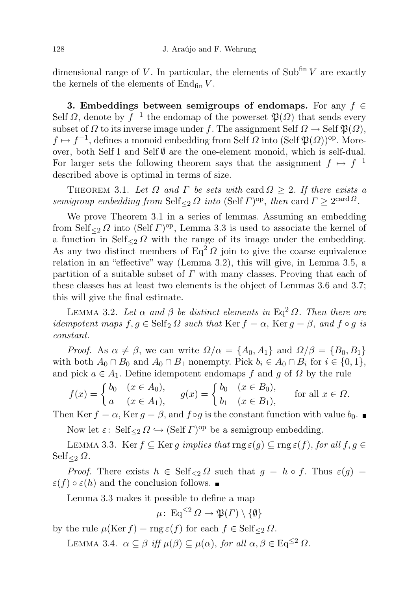dimensional range of  $V$ . In particular, the elements of  $\text{Sub}^{\text{fin}} V$  are exactly the kernels of the elements of  $\text{End}_{\text{fin}} V$ .

3. Embeddings between semigroups of endomaps. For any  $f \in$ Self  $\Omega$ , denote by  $f^{-1}$  the endomap of the powerset  $\mathfrak{P}(\Omega)$  that sends every subset of  $\Omega$  to its inverse image under f. The assignment Self  $\Omega \to \text{Self } \mathfrak{P}(\Omega)$ ,  $f \mapsto f^{-1}$ , defines a monoid embedding from Self  $\Omega$  into  $(\text{Self } \mathfrak{P}(\Omega))^\text{op}$ . Moreover, both Self 1 and Self ∅ are the one-element monoid, which is self-dual. For larger sets the following theorem says that the assignment  $f \mapsto f^{-1}$ described above is optimal in terms of size.

THEOREM 3.1. Let  $\Omega$  and  $\Gamma$  be sets with card  $\Omega \geq 2$ . If there exists a semigroup embedding from Self  $\leq$  2 into (Self  $\Gamma$ )<sup>op</sup>, then card  $\Gamma \geq 2^{\text{card } \Omega}$ .

We prove Theorem 3.1 in a series of lemmas. Assuming an embedding from Self<sub> $\leq$ 2</sub> Ω into (Self  $\Gamma$ )<sup>op</sup>, Lemma 3.3 is used to associate the kernel of a function in  $\text{Self}_{\leq 2} \Omega$  with the range of its image under the embedding. As any two distinct members of  $Eq<sup>2</sup> \Omega$  join to give the coarse equivalence relation in an "effective" way (Lemma 3.2), this will give, in Lemma 3.5, a partition of a suitable subset of  $\Gamma$  with many classes. Proving that each of these classes has at least two elements is the object of Lemmas 3.6 and 3.7; this will give the final estimate.

LEMMA 3.2. Let  $\alpha$  and  $\beta$  be distinct elements in Eq<sup>2</sup>  $\Omega$ . Then there are idempotent maps  $f, g \in \text{Self}_2 \Omega$  such that  $\text{Ker } f = \alpha$ ,  $\text{Ker } g = \beta$ , and  $f \circ g$  is constant.

*Proof.* As  $\alpha \neq \beta$ , we can write  $\Omega/\alpha = \{A_0, A_1\}$  and  $\Omega/\beta = \{B_0, B_1\}$ with both  $A_0 \cap B_0$  and  $A_0 \cap B_1$  nonempty. Pick  $b_i \in A_0 \cap B_i$  for  $i \in \{0,1\}$ , and pick  $a \in A_1$ . Define idempotent endomaps f and g of  $\Omega$  by the rule

$$
f(x) = \begin{cases} b_0 & (x \in A_0), \\ a & (x \in A_1), \end{cases} \quad g(x) = \begin{cases} b_0 & (x \in B_0), \\ b_1 & (x \in B_1), \end{cases} \quad \text{for all } x \in \Omega.
$$

Then Ker  $f = \alpha$ , Ker  $g = \beta$ , and  $f \circ g$  is the constant function with value  $b_0$ .

Now let  $\varepsilon$ : Self<sub> $\leq$ 2</sub>  $\Omega \hookrightarrow$  (Self  $\Gamma)$ <sup>op</sup> be a semigroup embedding.

LEMMA 3.3. Ker  $f \subseteq \text{Ker } q$  implies that  $\text{rng } \varepsilon(q) \subseteq \text{rng } \varepsilon(f)$ , for all  $f, g \in$  $\operatorname{Self}_{\leq 2} \Omega$ .

*Proof.* There exists  $h \in \text{Self}_{\leq 2} \Omega$  such that  $g = h \circ f$ . Thus  $\varepsilon(g) =$  $\varepsilon(f) \circ \varepsilon(h)$  and the conclusion follows.

Lemma 3.3 makes it possible to define a map

 $\mu:$  Eq<sup> $\leq 2$ </sup>  $\Omega \to \mathfrak{P}(\Gamma) \setminus \{\emptyset\}$ 

by the rule  $\mu({\rm Ker}\, f) = {\rm rng}\, \varepsilon(f)$  for each  $f \in {\rm Self}_{\leq 2}\, \Omega.$ 

LEMMA 3.4.  $\alpha \subseteq \beta$  iff  $\mu(\beta) \subseteq \mu(\alpha)$ , for all  $\alpha, \beta \in Eq^{\leq 2} \Omega$ .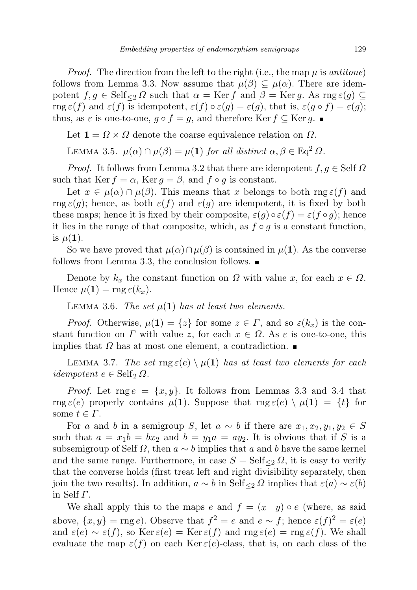*Proof.* The direction from the left to the right (i.e., the map  $\mu$  is antitone) follows from Lemma 3.3. Now assume that  $\mu(\beta) \subseteq \mu(\alpha)$ . There are idempotent  $f, g \in \text{Self}_{\leq 2} \Omega$  such that  $\alpha = \text{Ker } f$  and  $\beta = \text{Ker } g$ . As  $\text{rng } \varepsilon(g) \subseteq$ rng  $\varepsilon(f)$  and  $\varepsilon(f)$  is idempotent,  $\varepsilon(f) \circ \varepsilon(g) = \varepsilon(g)$ , that is,  $\varepsilon(g \circ f) = \varepsilon(g)$ ; thus, as  $\varepsilon$  is one-to-one,  $g \circ f = g$ , and therefore Ker  $f \subseteq \text{Ker } g$ .

Let  $\mathbf{1} = \Omega \times \Omega$  denote the coarse equivalence relation on  $\Omega$ .

LEMMA 3.5.  $\mu(\alpha) \cap \mu(\beta) = \mu(1)$  for all distinct  $\alpha, \beta \in \text{Eq}^2 \Omega$ .

*Proof.* It follows from Lemma 3.2 that there are idempotent  $f, g \in \text{Self } \Omega$ such that Ker  $f = \alpha$ , Ker  $g = \beta$ , and  $f \circ g$  is constant.

Let  $x \in \mu(\alpha) \cap \mu(\beta)$ . This means that x belongs to both rng  $\varepsilon(f)$  and rng  $\varepsilon(q)$ ; hence, as both  $\varepsilon(f)$  and  $\varepsilon(q)$  are idempotent, it is fixed by both these maps; hence it is fixed by their composite,  $\varepsilon(q) \circ \varepsilon(f) = \varepsilon(f \circ q)$ ; hence it lies in the range of that composite, which, as  $f \circ g$  is a constant function, is  $\mu(1)$ .

So we have proved that  $\mu(\alpha) \cap \mu(\beta)$  is contained in  $\mu(1)$ . As the converse follows from Lemma 3.3, the conclusion follows.

Denote by  $k_x$  the constant function on  $\Omega$  with value x, for each  $x \in \Omega$ . Hence  $\mu(\mathbf{1}) = \text{rng}\,\varepsilon(k_x)$ .

LEMMA 3.6. The set  $\mu(1)$  has at least two elements.

*Proof.* Otherwise,  $\mu(1) = \{z\}$  for some  $z \in \Gamma$ , and so  $\varepsilon(k_x)$  is the constant function on Γ with value z, for each  $x \in \Omega$ . As  $\varepsilon$  is one-to-one, this implies that  $\Omega$  has at most one element, a contradiction.

LEMMA 3.7. The set  $\text{rng } \varepsilon(e) \setminus \mu(1)$  has at least two elements for each idempotent  $e \in \text{Self}_2 \Omega$ .

*Proof.* Let rng  $e = \{x, y\}$ . It follows from Lemmas 3.3 and 3.4 that rng  $\varepsilon(e)$  properly contains  $\mu(1)$ . Suppose that rng  $\varepsilon(e) \setminus \mu(1) = \{t\}$  for some  $t \in \Gamma$ .

For a and b in a semigroup S, let  $a \sim b$  if there are  $x_1, x_2, y_1, y_2 \in S$ such that  $a = x_1b = bx_2$  and  $b = y_1a = ay_2$ . It is obvious that if S is a subsemigroup of Self  $\Omega$ , then  $a \sim b$  implies that a and b have the same kernel and the same range. Furthermore, in case  $S = \text{Self}_{\leq 2} \Omega$ , it is easy to verify that the converse holds (first treat left and right divisibility separately, then join the two results). In addition,  $a \sim b$  in Self $\langle a \rangle \geq \Omega$  implies that  $\varepsilon(a) \sim \varepsilon(b)$ in Self  $\Gamma$ .

We shall apply this to the maps e and  $f = (x \ y) \circ e$  (where, as said above,  $\{x, y\}$  = rng e). Observe that  $f^2 = e$  and  $e \sim f$ ; hence  $\varepsilon(f)^2 = \varepsilon(e)$ and  $\varepsilon(e) \sim \varepsilon(f)$ , so Ker  $\varepsilon(e) = \text{Ker } \varepsilon(f)$  and  $\text{rng } \varepsilon(e) = \text{rng } \varepsilon(f)$ . We shall evaluate the map  $\varepsilon(f)$  on each Ker  $\varepsilon(e)$ -class, that is, on each class of the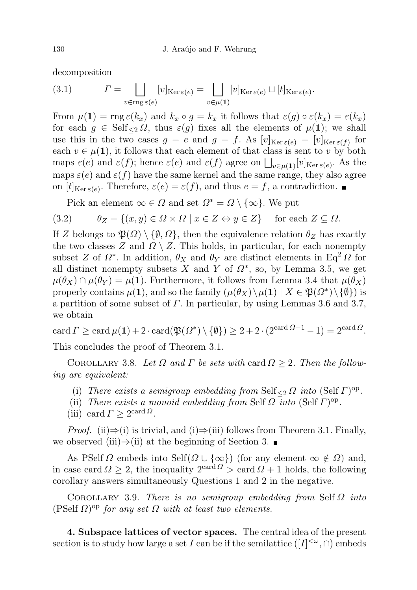decomposition

(3.1) 
$$
\Gamma = \bigsqcup_{v \in \text{rng } \varepsilon(e)} [v]_{\text{Ker } \varepsilon(e)} = \bigsqcup_{v \in \mu(1)} [v]_{\text{Ker } \varepsilon(e)} \sqcup [t]_{\text{Ker } \varepsilon(e)}.
$$

From  $\mu(1) = \text{rng } \varepsilon(k_x)$  and  $k_x \circ g = k_x$  it follows that  $\varepsilon(g) \circ \varepsilon(k_x) = \varepsilon(k_x)$ for each  $g \in \text{Self}_{\leq 2} \Omega$ , thus  $\varepsilon(g)$  fixes all the elements of  $\mu(1)$ ; we shall use this in the two cases  $g = e$  and  $g = f$ . As  $[v]_{\text{Ker}\,\varepsilon(e)} = [v]_{\text{Ker}\,\varepsilon(f)}$  for each  $v \in \mu(1)$ , it follows that each element of that class is sent to v by both maps  $\varepsilon(e)$  and  $\varepsilon(f)$ ; hence  $\varepsilon(e)$  and  $\varepsilon(f)$  agree on  $\bigsqcup_{v\in\mu(1)}[v]_{\text{Ker }\varepsilon(e)}$ . As the maps  $\varepsilon(e)$  and  $\varepsilon(f)$  have the same kernel and the same range, they also agree on  $[t]_{\text{Ker }\varepsilon(e)}$ . Therefore,  $\varepsilon(e) = \varepsilon(f)$ , and thus  $e = f$ , a contradiction.

Pick an element  $\infty \in \Omega$  and set  $\Omega^* = \Omega \setminus \{\infty\}$ . We put

$$
(3.2) \qquad \theta_Z = \{(x, y) \in \Omega \times \Omega \mid x \in Z \Leftrightarrow y \in Z\} \quad \text{for each } Z \subseteq \Omega.
$$

If Z belongs to  $\mathfrak{P}(\Omega) \setminus \{\emptyset, \Omega\}$ , then the equivalence relation  $\theta_Z$  has exactly the two classes Z and  $\Omega \setminus Z$ . This holds, in particular, for each nonempty subset Z of  $\Omega^*$ . In addition,  $\theta_X$  and  $\theta_Y$  are distinct elements in Eq<sup>2</sup>  $\Omega$  for all distinct nonempty subsets X and Y of  $\Omega^*$ , so, by Lemma 3.5, we get  $\mu(\theta_X) \cap \mu(\theta_Y) = \mu(1)$ . Furthermore, it follows from Lemma 3.4 that  $\mu(\theta_X)$ properly contains  $\mu(1)$ , and so the family  $(\mu(\theta_X)\setminus\mu(1) | X \in \mathfrak{P}(\Omega^*)\setminus\{\emptyset\})$  is a partition of some subset of  $\Gamma$ . In particular, by using Lemmas 3.6 and 3.7, we obtain

 $\operatorname{card} \varGamma \geq \operatorname{card} \mu(\mathbf{1}) + 2 \cdot \operatorname{card} (\mathfrak{P}(\varOmega^*) \setminus \{\emptyset\}) \geq 2 + 2 \cdot (2^{\operatorname{card} \varOmega - 1} - 1) = 2^{\operatorname{card} \varOmega}.$ 

This concludes the proof of Theorem 3.1.

COROLLARY 3.8. Let  $\Omega$  and  $\Gamma$  be sets with card  $\Omega \geq 2$ . Then the following are equivalent:

- (i) There exists a semigroup embedding from Self  $\leq_2 \Omega$  into (Self  $\Gamma$ )<sup>op</sup>.
- (ii) There exists a monoid embedding from Self  $\Omega$  into (Self  $\Gamma)^\text{op}$ .
- (iii) card  $\Gamma \geq 2^{\text{card } \Omega}$ .

*Proof.* (ii)⇒(i) is trivial, and (i)⇒(iii) follows from Theorem 3.1. Finally, we observed (iii)⇒(ii) at the beginning of Section 3.  $\blacksquare$ 

As PSelf  $\Omega$  embeds into Self( $\Omega \cup {\infty}$ ) (for any element  $\infty \notin \Omega$ ) and, in case card  $\Omega \geq 2$ , the inequality  $2^{\text{card } \Omega} > \text{card } \Omega + 1$  holds, the following corollary answers simultaneously Questions 1 and 2 in the negative.

COROLLARY 3.9. There is no semigroup embedding from Self  $\Omega$  into  $(PSelf \Omega)^{op}$  for any set  $\Omega$  with at least two elements.

4. Subspace lattices of vector spaces. The central idea of the present section is to study how large a set I can be if the semilattice  $([I]^{<\omega}, \cap)$  embeds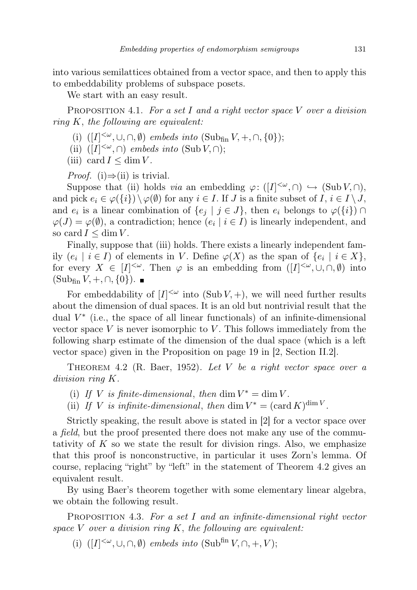into various semilattices obtained from a vector space, and then to apply this to embeddability problems of subspace posets.

We start with an easy result.

PROPOSITION 4.1. For a set I and a right vector space V over a division ring  $K$ , the following are equivalent:

- (i)  $([I]^{<\omega}, \cup, \cap, \emptyset)$  embeds into  $(\text{Sub}_{fin} V, +, \cap, \{0\})$ ;
- (ii)  $([I]^{<\omega}, \cap)$  embeds into (Sub  $V, \cap)$ ;
- (iii) card  $I \leq \dim V$ .

*Proof.* (i) $\Rightarrow$ (ii) is trivial.

Suppose that (ii) holds *via* an embedding  $\varphi: ([I]^{<\omega}, \cap) \hookrightarrow (\text{Sub } V, \cap),$ and pick  $e_i \in \varphi(\{i\}) \setminus \varphi(\emptyset)$  for any  $i \in I$ . If J is a finite subset of  $I, i \in I \setminus J$ , and  $e_i$  is a linear combination of  $\{e_j \mid j \in J\}$ , then  $e_i$  belongs to  $\varphi(\{i\}) \cap$  $\varphi(J) = \varphi(\emptyset)$ , a contradiction; hence  $(e_i \mid i \in I)$  is linearly independent, and so card  $I \leq \dim V$ .

Finally, suppose that (iii) holds. There exists a linearly independent family  $(e_i \mid i \in I)$  of elements in V. Define  $\varphi(X)$  as the span of  $\{e_i \mid i \in X\}$ , for every  $X \in [I]^{<\omega}$ . Then  $\varphi$  is an embedding from  $([I]^{<\omega}, \cup, \cap, \emptyset)$  into  $(\text{Sub}_{\text{fin}} V, +, \cap, \{0\})$ .

For embeddability of  $[I]^{<\omega}$  into  $(\text{Sub } V, +)$ , we will need further results about the dimension of dual spaces. It is an old but nontrivial result that the dual  $V^*$  (i.e., the space of all linear functionals) of an infinite-dimensional vector space  $V$  is never isomorphic to  $V$ . This follows immediately from the following sharp estimate of the dimension of the dual space (which is a left vector space) given in the Proposition on page 19 in [2, Section II.2].

THEOREM 4.2 (R. Baer, 1952). Let V be a right vector space over a division ring K.

- (i) If V is finite-dimensional, then dim  $V^* = \dim V$ .
- (ii) If V is infinite-dimensional, then dim  $V^* = (\text{card } K)^{\dim V}$ .

Strictly speaking, the result above is stated in [2] for a vector space over a field, but the proof presented there does not make any use of the commutativity of  $K$  so we state the result for division rings. Also, we emphasize that this proof is nonconstructive, in particular it uses Zorn's lemma. Of course, replacing "right" by "left" in the statement of Theorem 4.2 gives an equivalent result.

By using Baer's theorem together with some elementary linear algebra, we obtain the following result.

PROPOSITION 4.3. For a set I and an infinite-dimensional right vector space V over a division ring  $K$ , the following are equivalent:

(i)  $([I]^{<\omega}, \cup, \cap, \emptyset)$  embeds into  $(\text{Sub}^{\text{fin}} V, \cap, +, V);$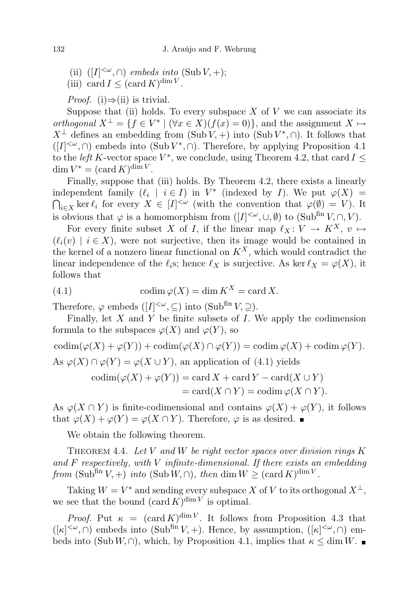(ii)  $([I]^{<\omega}, \cap)$  embeds into (Sub V, +);

(iii) card  $I \leq (\text{card } K)^{\dim V}$ .

*Proof.* (i) $\Rightarrow$ (ii) is trivial.

Suppose that (ii) holds. To every subspace  $X$  of  $V$  we can associate its orthogonal  $X^{\perp} = \{f \in V^* \mid (\forall x \in X)(f(x) = 0)\}\$ , and the assignment  $X \mapsto$  $X^{\perp}$  defines an embedding from (Sub V, +) into (Sub V<sup>\*</sup>,∩). It follows that  $([I]^{<\omega}, \cap)$  embeds into (Sub  $V^*, \cap$ ). Therefore, by applying Proposition 4.1 to the *left* K-vector space  $V^*$ , we conclude, using Theorem 4.2, that card  $I \leq$  $\dim V^* = (\text{card } K)^{\dim V}.$ 

Finally, suppose that (iii) holds. By Theorem 4.2, there exists a linearly independent family  $(\ell_i \mid i \in I)$  in  $V^*$  (indexed by I). We put  $\varphi(X) =$  $\bigcap_{i\in X} \ker \ell_i$  for every  $X \in [I]^{<\omega}$  (with the convention that  $\varphi(\emptyset) = V$ ). It is obvious that  $\varphi$  is a homomorphism from  $([I]^{<\omega}, \cup, \emptyset)$  to  $(\text{Sub}^{\text{fin}} V, \cap, V)$ .

For every finite subset X of I, if the linear map  $\ell_X : V \to K^X, v \mapsto$  $(\ell_i(v) | i \in X)$ , were not surjective, then its image would be contained in the kernel of a nonzero linear functional on  $K^X$ , which would contradict the linear independence of the  $\ell_i$ s; hence  $\ell_X$  is surjective. As ker  $\ell_X = \varphi(X)$ , it follows that

(4.1) 
$$
\operatorname{codim} \varphi(X) = \dim K^X = \operatorname{card} X.
$$

Therefore,  $\varphi$  embeds  $([I]^{<\omega}, \subseteq)$  into  $(\text{Sub}^{\text{fin}} V, \supseteq)$ .

Finally, let  $X$  and  $Y$  be finite subsets of  $I$ . We apply the codimension formula to the subspaces  $\varphi(X)$  and  $\varphi(Y)$ , so

 $\operatorname{codim}(\varphi(X) + \varphi(Y)) + \operatorname{codim}(\varphi(X) \cap \varphi(Y)) = \operatorname{codim} \varphi(X) + \operatorname{codim} \varphi(Y).$ As  $\varphi(X) \cap \varphi(Y) = \varphi(X \cup Y)$ , an application of (4.1) yields

$$
codim(\varphi(X) + \varphi(Y)) = card X + card Y - card(X \cup Y)
$$
  
= card(X \cap Y) = codim \varphi(X \cap Y).

As  $\varphi(X \cap Y)$  is finite-codimensional and contains  $\varphi(X) + \varphi(Y)$ , it follows that  $\varphi(X) + \varphi(Y) = \varphi(X \cap Y)$ . Therefore,  $\varphi$  is as desired.

We obtain the following theorem.

THEOREM 4.4. Let V and W be right vector spaces over division rings  $K$ and  $F$  respectively, with  $V$  infinite-dimensional. If there exists an embedding from  $(\text{Sub}^{\text{fin}} V, +)$  into  $(\text{Sub } W, \cap),$  then  $\dim W \geq (\text{card } K)^{\dim V}$ .

Taking  $W = V^*$  and sending every subspace X of V to its orthogonal  $X^{\perp}$ , we see that the bound  $(\text{card } K)^{\dim V}$  is optimal.

*Proof.* Put  $\kappa = (\text{card } K)^{\dim V}$ . It follows from Proposition 4.3 that  $(|\kappa|^{<\omega}, \cap)$  embeds into (Sub<sup>fin</sup> V, +). Hence, by assumption,  $(|\kappa|^{<\omega}, \cap)$  embeds into (Sub  $W, \cap$ ), which, by Proposition 4.1, implies that  $\kappa \leq \dim W$ .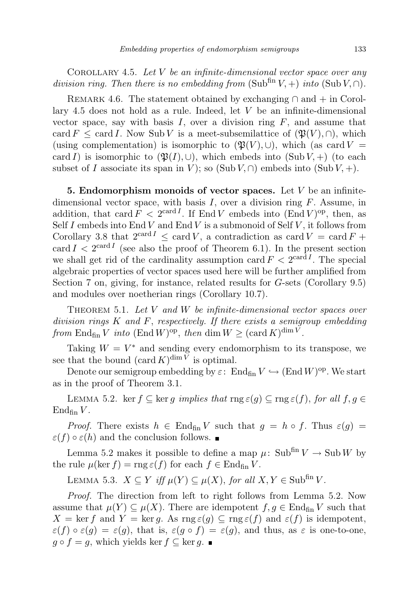COROLLARY 4.5. Let  $V$  be an infinite-dimensional vector space over any division ring. Then there is no embedding from  $(\text{Sub}^{\text{fin}} V, +)$  into  $(\text{Sub} V, \cap)$ .

REMARK 4.6. The statement obtained by exchanging  $\cap$  and  $+$  in Corollary 4.5 does not hold as a rule. Indeed, let V be an infinite-dimensional vector space, say with basis  $I$ , over a division ring  $F$ , and assume that card  $F \n\leq \text{card } I$ . Now Sub V is a meet-subsemilattice of  $(\mathfrak{P}(V), \cap)$ , which (using complementation) is isomorphic to  $(\mathfrak{P}(V), \cup)$ , which (as card V = card I) is isomorphic to  $(\mathfrak{P}(I), \cup)$ , which embeds into  $(\text{Sub } V, +)$  (to each subset of I associate its span in V); so  $(\text{Sub } V, \cap)$  embeds into  $(\text{Sub } V, +)$ .

**5. Endomorphism monoids of vector spaces.** Let  $V$  be an infinitedimensional vector space, with basis  $I$ , over a division ring  $F$ . Assume, in addition, that card  $F < 2^{\text{card } I}$ . If End V embeds into  $(\text{End } V)^{\text{op}}$ , then, as Self  $I$  embeds into  $End V$  and  $End V$  is a submonoid of Self  $V$ , it follows from Corollary 3.8 that  $2^{card I} \leq card V$ , a contradiction as  $card V = card F +$ card  $I < 2^{card I}$  (see also the proof of Theorem 6.1). In the present section we shall get rid of the cardinality assumption card  $F < 2^{card I}$ . The special algebraic properties of vector spaces used here will be further amplified from Section 7 on, giving, for instance, related results for G-sets (Corollary 9.5) and modules over noetherian rings (Corollary 10.7).

THEOREM 5.1. Let V and W be infinite-dimensional vector spaces over division rings  $K$  and  $F$ , respectively. If there exists a semigroup embedding from End<sub>fin</sub> V into (End W)<sup>op</sup>, then dim  $W \geq (\text{card } K)^{\dim V}$ .

Taking  $W = V^*$  and sending every endomorphism to its transpose, we see that the bound  $(\text{card } K)^{\dim V}$  is optimal.

Denote our semigroup embedding by  $\varepsilon$ : End<sub>fin</sub>  $V \hookrightarrow (\text{End } W)^{\text{op}}$ . We start as in the proof of Theorem 3.1.

LEMMA 5.2. ker  $f \subseteq \text{ker } q$  implies that  $\text{rng } \varepsilon(q) \subseteq \text{rng } \varepsilon(f)$ , for all  $f, g \in$  $\text{End}_{\text{fin}} V$ .

*Proof.* There exists  $h \in \text{End}_{fin} V$  such that  $g = h \circ f$ . Thus  $\varepsilon(g) =$  $\varepsilon(f) \circ \varepsilon(h)$  and the conclusion follows.  $\blacksquare$ 

Lemma 5.2 makes it possible to define a map  $\mu$ : Subfin  $V \to$  Sub W by the rule  $\mu(\ker f) = \text{rng}\,\varepsilon(f)$  for each  $f \in \text{End}_{fin} V$ .

LEMMA 5.3.  $X \subseteq Y$  iff  $\mu(Y) \subseteq \mu(X)$ , for all  $X, Y \in$  Sub<sup>fin</sup> V.

Proof. The direction from left to right follows from Lemma 5.2. Now assume that  $\mu(Y) \subseteq \mu(X)$ . There are idempotent  $f, g \in \text{End}_{fin} V$  such that  $X = \ker f$  and  $Y = \ker g$ . As  $\text{rng}\,\varepsilon(g) \subseteq \text{rng}\,\varepsilon(f)$  and  $\varepsilon(f)$  is idempotent,  $\varepsilon(f) \circ \varepsilon(g) = \varepsilon(g)$ , that is,  $\varepsilon(g \circ f) = \varepsilon(g)$ , and thus, as  $\varepsilon$  is one-to-one,  $g \circ f = g$ , which yields ker  $f \subseteq \ker g$ . ■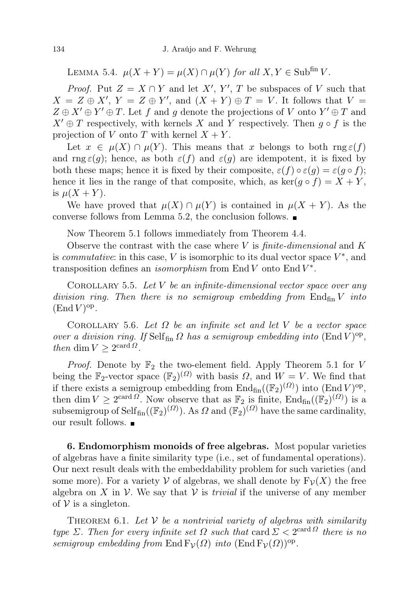LEMMA 5.4.  $\mu(X + Y) = \mu(X) \cap \mu(Y)$  for all  $X, Y \in \text{Subfin } V$ .

*Proof.* Put  $Z = X \cap Y$  and let X', Y', T be subspaces of V such that  $X = Z \oplus X'$ ,  $Y = Z \oplus Y'$ , and  $(X + Y) \oplus T = V$ . It follows that  $V =$  $Z \oplus X' \oplus Y' \oplus T$ . Let f and g denote the projections of V onto  $Y' \oplus T$  and  $X' \oplus T$  respectively, with kernels X and Y respectively. Then  $g \circ f$  is the projection of V onto T with kernel  $X + Y$ .

Let  $x \in \mu(X) \cap \mu(Y)$ . This means that x belongs to both  $\text{rng}\,\varepsilon(f)$ and rng  $\varepsilon(q)$ ; hence, as both  $\varepsilon(f)$  and  $\varepsilon(q)$  are idempotent, it is fixed by both these maps; hence it is fixed by their composite,  $\varepsilon(f) \circ \varepsilon(g) = \varepsilon(g \circ f);$ hence it lies in the range of that composite, which, as ker $(g \circ f) = X + Y$ , is  $\mu(X+Y)$ .

We have proved that  $\mu(X) \cap \mu(Y)$  is contained in  $\mu(X + Y)$ . As the converse follows from Lemma 5.2, the conclusion follows.

Now Theorem 5.1 follows immediately from Theorem 4.4.

Observe the contrast with the case where  $V$  is *finite-dimensional* and  $K$ is *commutative*: in this case,  $V$  is isomorphic to its dual vector space  $V^*$ , and transposition defines an *isomorphism* from End V onto End  $V^*$ .

COROLLARY 5.5. Let  $V$  be an infinite-dimensional vector space over any division ring. Then there is no semigroup embedding from  $\text{End}_{\text{fin}} V$  into  $(End V)$ <sup>op</sup>.

COROLLARY 5.6. Let  $\Omega$  be an infinite set and let V be a vector space over a division ring. If  $\operatorname{Self}_{fin} \Omega$  has a semigroup embedding into  $(\operatorname{End} V)^{op}$ , then dim  $V \geq 2^{\text{card } \Omega}$ .

*Proof.* Denote by  $\mathbb{F}_2$  the two-element field. Apply Theorem 5.1 for V being the  $\mathbb{F}_2$ -vector space  $(\mathbb{F}_2)^{(0)}$  with basis  $\Omega$ , and  $W = V$ . We find that if there exists a semigroup embedding from  $\text{End}_{fin}((\mathbb{F}_2)^{(0)})$  into  $(\text{End }V)^{op}$ , then dim  $V \geq 2^{\text{card } \Omega}$ . Now observe that as  $\mathbb{F}_2$  is finite,  $\text{End}_{\text{fin}}((\mathbb{F}_2)^{(\Omega)})$  is a subsemigroup of  $\text{Self}_{fin}(\mathbb{F}_2)^{(\Omega)}$ . As  $\Omega$  and  $(\mathbb{F}_2)^{(\Omega)}$  have the same cardinality, our result follows.

6. Endomorphism monoids of free algebras. Most popular varieties of algebras have a finite similarity type (i.e., set of fundamental operations). Our next result deals with the embeddability problem for such varieties (and some more). For a variety V of algebras, we shall denote by  $F_{\mathcal{V}}(X)$  the free algebra on X in V. We say that V is *trivial* if the universe of any member of  $V$  is a singleton.

THEOREM 6.1. Let  $V$  be a nontrivial variety of algebras with similarity type  $\Sigma$ . Then for every infinite set  $\Omega$  such that card  $\Sigma < 2^{\text{card } \Omega}$  there is no semigroup embedding from End  $F_V(\Omega)$  into  $(\text{End }F_V(\Omega))^\text{op}$ .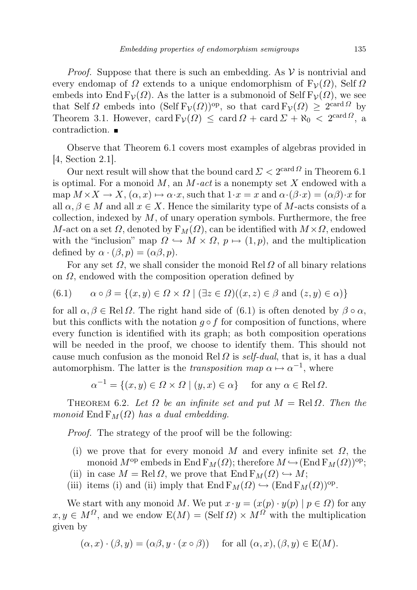*Proof.* Suppose that there is such an embedding. As  $V$  is nontrivial and every endomap of  $\Omega$  extends to a unique endomorphism of  $F_{\mathcal{V}}(\Omega)$ , Self  $\Omega$ embeds into End  $F_{\mathcal{V}}(\Omega)$ . As the latter is a submonoid of Self  $F_{\mathcal{V}}(\Omega)$ , we see that Self  $\Omega$  embeds into  $(\text{Self F$\mathcal{V}$}(Q))^{\text{op}}$ , so that card  $F_{\mathcal{V}}(Q) \geq 2^{\text{card } \Omega}$  by Theorem 3.1. However, card  $F_v(\Omega) \leq$  card  $\Omega$  + card  $\Sigma$  +  $\aleph_0$  < 2<sup>card  $\Omega$ </sup>, a contradiction.

Observe that Theorem 6.1 covers most examples of algebras provided in [4, Section 2.1].

Our next result will show that the bound card  $\Sigma < 2^{\text{card } \Omega}$  in Theorem 6.1 is optimal. For a monoid  $M$ , an  $M$ -act is a nonempty set  $X$  endowed with a map  $M \times X \to X$ ,  $(\alpha, x) \mapsto \alpha \cdot x$ , such that  $1 \cdot x = x$  and  $\alpha \cdot (\beta \cdot x) = (\alpha \beta) \cdot x$  for all  $\alpha, \beta \in M$  and all  $x \in X$ . Hence the similarity type of M-acts consists of a collection, indexed by  $M$ , of unary operation symbols. Furthermore, the free M-act on a set  $\Omega$ , denoted by  $F_M(\Omega)$ , can be identified with  $M \times \Omega$ , endowed with the "inclusion" map  $\Omega \hookrightarrow M \times \Omega$ ,  $p \mapsto (1, p)$ , and the multiplication defined by  $\alpha \cdot (\beta, p) = (\alpha \beta, p)$ .

For any set  $\Omega$ , we shall consider the monoid Rel  $\Omega$  of all binary relations on  $\Omega$ , endowed with the composition operation defined by

(6.1) 
$$
\alpha \circ \beta = \{(x, y) \in \Omega \times \Omega \mid (\exists z \in \Omega)((x, z) \in \beta \text{ and } (z, y) \in \alpha)\}\
$$

for all  $\alpha, \beta \in \text{Rel } \Omega$ . The right hand side of (6.1) is often denoted by  $\beta \circ \alpha$ , but this conflicts with the notation  $q \circ f$  for composition of functions, where every function is identified with its graph; as both composition operations will be needed in the proof, we choose to identify them. This should not cause much confusion as the monoid Rel  $\Omega$  is self-dual, that is, it has a dual automorphism. The latter is the *transposition map*  $\alpha \mapsto \alpha^{-1}$ , where

$$
\alpha^{-1} = \{(x, y) \in \Omega \times \Omega \mid (y, x) \in \alpha\} \quad \text{for any } \alpha \in \text{Rel } \Omega.
$$

THEOREM 6.2. Let  $\Omega$  be an infinite set and put  $M = \text{Rel} \Omega$ . Then the monoid  $\text{End}\, \mathbb{F}_M(\Omega)$  has a dual embedding.

Proof. The strategy of the proof will be the following:

- (i) we prove that for every monoid M and every infinite set  $\Omega$ , the monoid  $M^{\text{op}}$  embeds in End  $F_M(\Omega)$ ; therefore  $M \hookrightarrow (\text{End } F_M(\Omega))^{\text{op}}$ ;
- (ii) in case  $M = \text{Rel } \Omega$ , we prove that  $\text{End } \mathcal{F}_M(\Omega) \hookrightarrow M$ ;
- (iii) items (i) and (ii) imply that  $\text{End } \mathcal{F}_M(\Omega) \hookrightarrow (\text{End } \mathcal{F}_M(\Omega))^{op}.$

We start with any monoid M. We put  $x \cdot y = (x(p) \cdot y(p) \mid p \in \Omega)$  for any  $x, y \in M^{\Omega}$ , and we endow  $E(M) = (Self \Omega) \times M^{\Omega}$  with the multiplication given by

$$
(\alpha, x) \cdot (\beta, y) = (\alpha\beta, y \cdot (x \circ \beta))
$$
 for all  $(\alpha, x), (\beta, y) \in E(M)$ .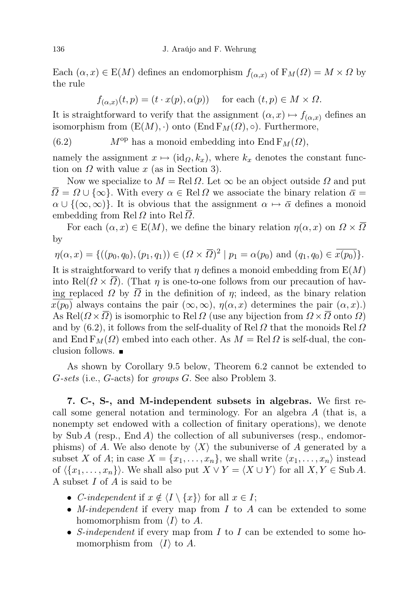Each  $(\alpha, x) \in E(M)$  defines an endomorphism  $f_{(\alpha, x)}$  of  $F_M(\Omega) = M \times \Omega$  by the rule

$$
f_{(\alpha,x)}(t,p) = (t \cdot x(p), \alpha(p)) \quad \text{ for each } (t,p) \in M \times \Omega.
$$

It is straightforward to verify that the assignment  $(\alpha, x) \mapsto f_{(\alpha, x)}$  defines an isomorphism from  $(E(M), \cdot)$  onto  $(End F_M(\Omega), \circ)$ . Furthermore,

(6.2)  $M^{op}$  has a monoid embedding into End  $F_M(\Omega)$ ,

namely the assignment  $x \mapsto (id_{\Omega}, k_x)$ , where  $k_x$  denotes the constant function on  $\Omega$  with value  $x$  (as in Section 3).

Now we specialize to  $M = \text{Rel } \Omega$ . Let  $\infty$  be an object outside  $\Omega$  and put  $\Omega = \Omega \cup \{\infty\}.$  With every  $\alpha \in \text{Rel } \Omega$  we associate the binary relation  $\overline{\alpha} =$  $\alpha \cup \{(\infty,\infty)\}\.$  It is obvious that the assignment  $\alpha \mapsto \overline{\alpha}$  defines a monoid embedding from Rel  $\Omega$  into Rel  $\Omega$ .

For each  $(\alpha, x) \in E(M)$ , we define the binary relation  $\eta(\alpha, x)$  on  $\Omega \times \Omega$ by

$$
\eta(\alpha, x) = \{((p_0, q_0), (p_1, q_1)) \in (\Omega \times \overline{\Omega})^2 \mid p_1 = \alpha(p_0) \text{ and } (q_1, q_0) \in \overline{x(p_0)}\}.
$$

It is straightforward to verify that  $\eta$  defines a monoid embedding from  $E(M)$ into Rel( $\Omega \times \Omega$ ). (That  $\eta$  is one-to-one follows from our precaution of having replaced  $\Omega$  by  $\overline{\Omega}$  in the definition of  $\eta$ ; indeed, as the binary relation  $x(p_0)$  always contains the pair  $(\infty, \infty)$ ,  $\eta(\alpha, x)$  determines the pair  $(\alpha, x)$ . As Rel $(\Omega \times \Omega)$  is isomorphic to Rel  $\Omega$  (use any bijection from  $\Omega \times \Omega$  onto  $\Omega$ ) and by (6.2), it follows from the self-duality of Rel  $\Omega$  that the monoids Rel  $\Omega$ and  $\text{End } \mathcal{F}_M(\Omega)$  embed into each other. As  $M = \text{Rel }\Omega$  is self-dual, the conclusion follows.

As shown by Corollary 9.5 below, Theorem 6.2 cannot be extended to G-sets (i.e., G-acts) for groups G. See also Problem 3.

7. C-, S-, and M-independent subsets in algebras. We first recall some general notation and terminology. For an algebra A (that is, a nonempty set endowed with a collection of finitary operations), we denote by  $\text{Sub } A$  (resp.,  $\text{End } A$ ) the collection of all subuniverses (resp., endomorphisms) of A. We also denote by  $\langle X \rangle$  the subuniverse of A generated by a subset X of A; in case  $X = \{x_1, \ldots, x_n\}$ , we shall write  $\langle x_1, \ldots, x_n \rangle$  instead of  $\langle \{x_1, \ldots, x_n\}\rangle$ . We shall also put  $X \vee Y = \langle X \cup Y \rangle$  for all  $X, Y \in \text{Sub } A$ . A subset I of A is said to be

- *C-independent* if  $x \notin \langle I \setminus \{x\} \rangle$  for all  $x \in I$ ;
- *M-independent* if every map from *I* to *A* can be extended to some homomorphism from  $\langle I \rangle$  to A.
- *S-independent* if every map from  $I$  to  $I$  can be extended to some homomorphism from  $\langle I \rangle$  to A.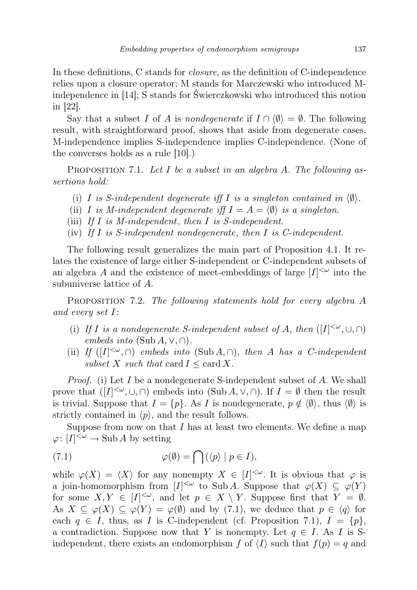In these definitions, C stands for *closure*, as the definition of C-independence relies upon a closure operator; M stands for Marczewski who introduced Mindependence in [14]; S stands for Świerczkowski who introduced this notion in [22].

Say that a subset I of A is nondegenerate if  $I \cap \langle \emptyset \rangle = \emptyset$ . The following result, with straightforward proof, shows that aside from degenerate cases, M-independence implies S-independence implies C-independence. (None of the converses holds as a rule [10].)

PROPOSITION 7.1. Let I be a subset in an algebra A. The following assertions hold:

- (i) I is S-independent degenerate iff I is a singleton contained in  $\langle \emptyset \rangle$ .
- (ii) I is M-independent degenerate if  $I = A = \langle \emptyset \rangle$  is a singleton.
- (iii) If  $I$  is M-independent, then  $I$  is S-independent.
- (iv) If I is S-independent nondegenerate, then I is C-independent.

The following result generalizes the main part of Proposition 4.1. It relates the existence of large either S-independent or C-independent subsets of an algebra A and the existence of meet-embeddings of large  $[I]^{<\omega}$  into the subuniverse lattice of A.

PROPOSITION 7.2. The following statements hold for every algebra A and every set I:

- (i) If I is a nondegenerate S-independent subset of A, then  $([I]^{<\omega}, \cup, \cap)$ embeds into  $(\text{Sub } A, \vee, \cap)$ .
- (ii) If  $([I]^{<\omega}, \cap)$  embeds into (Sub A,  $\cap$ ), then A has a C-independent subset X such that card  $I \leq \text{card } X$ .

*Proof.* (i) Let I be a nondegenerate S-independent subset of A. We shall prove that  $([I]^{<\omega}, \cup, \cap)$  embeds into  $(\text{Sub } A, \vee, \cap)$ . If  $I = \emptyset$  then the result is trivial. Suppose that  $I = \{p\}$ . As I is nondegenerate,  $p \notin \langle \emptyset \rangle$ , thus  $\langle \emptyset \rangle$  is strictly contained in  $\langle p \rangle$ , and the result follows.

Suppose from now on that  $I$  has at least two elements. We define a map  $\varphi: [I]^{<\omega} \to \text{Sub } A$  by setting

(7.1) 
$$
\varphi(\emptyset) = \bigcap (\langle p \rangle \mid p \in I),
$$

while  $\varphi(X) = \langle X \rangle$  for any nonempty  $X \in [I]^{<\omega}$ . It is obvious that  $\varphi$  is a join-homomorphism from  $[I]^{<\omega}$  to Sub A. Suppose that  $\varphi(X) \subseteq \varphi(Y)$ for some  $X, Y \in [I]^{<\omega}$ , and let  $p \in X \setminus Y$ . Suppose first that  $Y = \emptyset$ . As  $X \subseteq \varphi(X) \subseteq \varphi(Y) = \varphi(\emptyset)$  and by (7.1), we deduce that  $p \in \langle q \rangle$  for each  $q \in I$ , thus, as I is C-independent (cf. Proposition 7.1),  $I = \{p\}$ , a contradiction. Suppose now that Y is nonempty. Let  $q \in I$ . As I is Sindependent, there exists an endomorphism f of  $\langle I \rangle$  such that  $f(p) = q$  and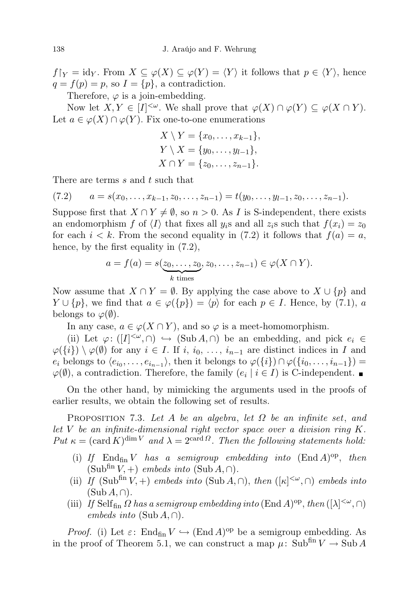$f|_Y = id_Y$ . From  $X \subseteq \varphi(X) \subseteq \varphi(Y) = \langle Y \rangle$  it follows that  $p \in \langle Y \rangle$ , hence  $q = f(p) = p$ , so  $I = \{p\}$ , a contradiction.

Therefore,  $\varphi$  is a join-embedding.

Now let  $X, Y \in [I]^{<\omega}$ . We shall prove that  $\varphi(X) \cap \varphi(Y) \subseteq \varphi(X \cap Y)$ . Let  $a \in \varphi(X) \cap \varphi(Y)$ . Fix one-to-one enumerations

$$
X \setminus Y = \{x_0, \dots, x_{k-1}\},
$$
  
\n
$$
Y \setminus X = \{y_0, \dots, y_{l-1}\},
$$
  
\n
$$
X \cap Y = \{z_0, \dots, z_{n-1}\}.
$$

There are terms  $s$  and  $t$  such that

$$
(7.2) \qquad a = s(x_0, \ldots, x_{k-1}, z_0, \ldots, z_{n-1}) = t(y_0, \ldots, y_{l-1}, z_0, \ldots, z_{n-1}).
$$

Suppose first that  $X \cap Y \neq \emptyset$ , so  $n > 0$ . As I is S-independent, there exists an endomorphism f of  $\langle I \rangle$  that fixes all  $y_i$ s and all  $z_i$ s such that  $f(x_i) = z_0$ for each  $i < k$ . From the second equality in (7.2) it follows that  $f(a) = a$ , hence, by the first equality in (7.2),

$$
a = f(a) = s(\underbrace{z_0, \dots, z_0}_{k \text{ times}}, z_0, \dots, z_{n-1}) \in \varphi(X \cap Y).
$$

Now assume that  $X \cap Y = \emptyset$ . By applying the case above to  $X \cup \{p\}$  and  $Y \cup \{p\}$ , we find that  $a \in \varphi(\{p\}) = \langle p \rangle$  for each  $p \in I$ . Hence, by (7.1), a belongs to  $\varphi(\emptyset)$ .

In any case,  $a \in \varphi(X \cap Y)$ , and so  $\varphi$  is a meet-homomorphism.

(ii) Let  $\varphi: ([I]^{<\omega}, \cap) \hookrightarrow (\text{Sub } A, \cap)$  be an embedding, and pick  $e_i \in$  $\varphi(\{i\}) \setminus \varphi(\emptyset)$  for any  $i \in I$ . If  $i, i_0, \ldots, i_{n-1}$  are distinct indices in I and  $e_i$  belongs to  $\langle e_{i_0}, \ldots, e_{i_{n-1}} \rangle$ , then it belongs to  $\varphi(\{i\}) \cap \varphi(\{i_0, \ldots, i_{n-1}\}) =$  $\varphi(\emptyset)$ , a contradiction. Therefore, the family  $(e_i \mid i \in I)$  is C-independent.

On the other hand, by mimicking the arguments used in the proofs of earlier results, we obtain the following set of results.

PROPOSITION 7.3. Let A be an algebra, let  $\Omega$  be an infinite set, and let V be an infinite-dimensional right vector space over a division ring  $K$ . Put  $\kappa = (\text{card } K)^{\dim V}$  and  $\lambda = 2^{\text{card }\Omega}$ . Then the following statements hold:

- (i) If  $\text{End}_{\text{fin}} V$  has a semigroup embedding into  $(\text{End }A)^{\text{op}}$ , then  $(\text{Sub}^{\text{fin}} V, +)$  embeds into  $(\text{Sub } A, \cap)$ .
- (ii) If  $(\text{Sub}^{\text{fin}} V,+)$  embeds into  $(\text{Sub } A,\cap),$  then  $(|\kappa|^{<\omega},\cap)$  embeds into  $(Sub A, \cap).$
- (iii) If Self<sub>fin</sub>  $\Omega$  has a semigroup embedding into (End A)<sup>op</sup>, then  $([\lambda]^{<\omega}, \cap)$ embeds into  $(\text{Sub } A, \cap)$ .

*Proof.* (i) Let  $\varepsilon$ : End<sub>fin</sub>  $V \hookrightarrow$  (End A)<sup>op</sup> be a semigroup embedding. As in the proof of Theorem 5.1, we can construct a map  $\mu:$  Subfin  $V \to$  Sub A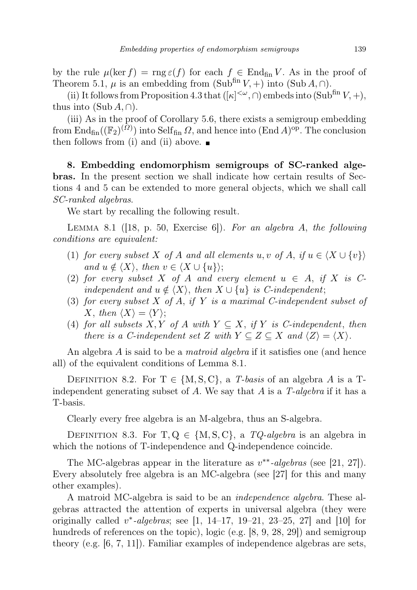by the rule  $\mu(\ker f) = \text{rng}\,\varepsilon(f)$  for each  $f \in \text{End}_{fin}V$ . As in the proof of Theorem 5.1,  $\mu$  is an embedding from (Sub<sup>fin</sup> V, +) into (Sub A, ∩).

(ii) It follows from Proposition 4.3 that  $(|\kappa|^{<\omega}, \cap)$  embeds into  $(\text{Sub}^{\text{fin}} V, +),$ thus into  $(Sub A, \cap)$ .

(iii) As in the proof of Corollary 5.6, there exists a semigroup embedding from  $\text{End}_{\text{fin}}((\mathbb{F}_2)^{(\Omega)})$  into  $\text{Self}_{\text{fin}}\Omega$ , and hence into  $(\text{End }A)^{\text{op}}$ . The conclusion then follows from (i) and (ii) above.  $\blacksquare$ 

8. Embedding endomorphism semigroups of SC-ranked algebras. In the present section we shall indicate how certain results of Sections 4 and 5 can be extended to more general objects, which we shall call SC-ranked algebras.

We start by recalling the following result.

LEMMA 8.1 ( $[18, p. 50,$  Exercise 6). For an algebra A, the following conditions are equivalent:

- (1) for every subset X of A and all elements u, v of A, if  $u \in \langle X \cup \{v\} \rangle$ and  $u \notin \langle X \rangle$ , then  $v \in \langle X \cup \{u\} \rangle$ ;
- (2) for every subset X of A and every element  $u \in A$ , if X is Cindependent and  $u \notin \langle X \rangle$ , then  $X \cup \{u\}$  is C-independent;
- (3) for every subset  $X$  of  $A$ , if  $Y$  is a maximal C-independent subset of X, then  $\langle X \rangle = \langle Y \rangle$ ;
- (4) for all subsets X, Y of A with  $Y \subseteq X$ , if Y is C-independent, then there is a C-independent set Z with  $Y \subseteq Z \subseteq X$  and  $\langle Z \rangle = \langle X \rangle$ .

An algebra A is said to be a *matroid algebra* if it satisfies one (and hence all) of the equivalent conditions of Lemma 8.1.

DEFINITION 8.2. For  $T \in \{M, S, C\}$ , a T-basis of an algebra A is a Tindependent generating subset of A. We say that A is a  $T\text{-}algebra$  if it has a T-basis.

Clearly every free algebra is an M-algebra, thus an S-algebra.

DEFINITION 8.3. For  $T, Q \in \{M, S, C\}$ , a  $TQ$ -algebra is an algebra in which the notions of T-independence and Q-independence coincide.

The MC-algebras appear in the literature as  $v^{**}$ -algebras (see [21, 27]). Every absolutely free algebra is an MC-algebra (see [27] for this and many other examples).

A matroid MC-algebra is said to be an independence algebra. These algebras attracted the attention of experts in universal algebra (they were originally called  $v^*$ -algebras; see  $[1, 14-17, 19-21, 23-25, 27]$  and  $[10]$  for hundreds of references on the topic), logic (e.g. [8, 9, 28, 29]) and semigroup theory (e.g. [6, 7, 11]). Familiar examples of independence algebras are sets,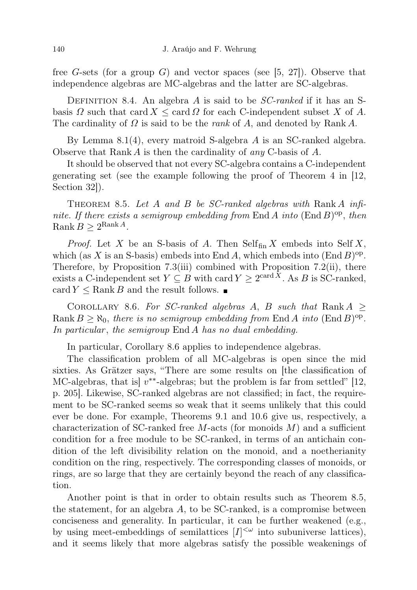free G-sets (for a group  $G$ ) and vector spaces (see [5, 27]). Observe that independence algebras are MC-algebras and the latter are SC-algebras.

DEFINITION 8.4. An algebra A is said to be *SC-ranked* if it has an Sbasis  $\Omega$  such that card  $X \leq \text{card } \Omega$  for each C-independent subset X of A. The cardinality of  $\Omega$  is said to be the *rank* of  $A$ , and denoted by Rank  $A$ .

By Lemma 8.1(4), every matroid S-algebra A is an SC-ranked algebra. Observe that Rank A is then the cardinality of any C-basis of A.

It should be observed that not every SC-algebra contains a C-independent generating set (see the example following the proof of Theorem 4 in [12, Section 32]).

THEOREM 8.5. Let A and B be SC-ranked algebras with Rank A infinite. If there exists a semigroup embedding from End A into  $(End B)^{op}$ , then Rank  $B \geq 2^{\text{Rank } A}$ .

*Proof.* Let X be an S-basis of A. Then  $\text{Self}_{fin} X$  embeds into Self X, which (as X is an S-basis) embeds into End A, which embeds into  $(\text{End }B)^\text{op}$ . Therefore, by Proposition  $7.3(iii)$  combined with Proposition  $7.2(ii)$ , there exists a C-independent set  $Y \subseteq B$  with card  $Y \geq 2^{\text{card } X}$ . As B is SC-ranked, card  $Y \leq$  Rank B and the result follows.

COROLLARY 8.6. For SC-ranked algebras A, B such that Rank  $A \geq$ Rank  $B \ge \aleph_0$ , there is no semigroup embedding from End A into  $(\text{End }B)^{\text{op}}$ . In particular, the semigroup  $\text{End } A$  has no dual embedding.

In particular, Corollary 8.6 applies to independence algebras.

The classification problem of all MC-algebras is open since the mid sixties. As Grätzer says, "There are some results on [the classification of MC-algebras, that is  $v^{**}$ -algebras; but the problem is far from settled" [12, p. 205]. Likewise, SC-ranked algebras are not classified; in fact, the requirement to be SC-ranked seems so weak that it seems unlikely that this could ever be done. For example, Theorems 9.1 and 10.6 give us, respectively, a characterization of SC-ranked free M-acts (for monoids  $M$ ) and a sufficient condition for a free module to be SC-ranked, in terms of an antichain condition of the left divisibility relation on the monoid, and a noetherianity condition on the ring, respectively. The corresponding classes of monoids, or rings, are so large that they are certainly beyond the reach of any classification.

Another point is that in order to obtain results such as Theorem 8.5, the statement, for an algebra  $A$ , to be SC-ranked, is a compromise between conciseness and generality. In particular, it can be further weakened (e.g., by using meet-embeddings of semilattices  $[I]^{<\omega}$  into subuniverse lattices), and it seems likely that more algebras satisfy the possible weakenings of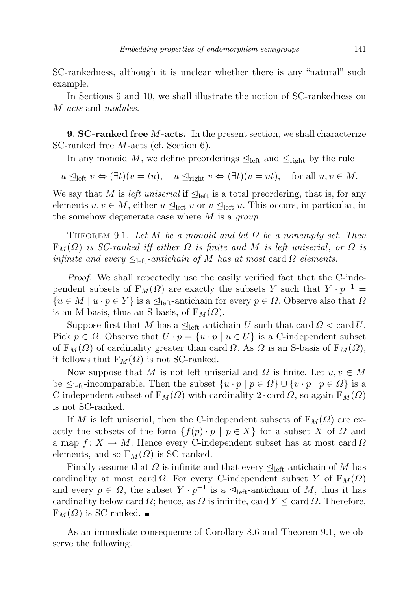SC-rankedness, although it is unclear whether there is any "natural" such example.

In Sections 9 and 10, we shall illustrate the notion of SC-rankedness on M-acts and modules.

9. SC-ranked free M-acts. In the present section, we shall characterize SC-ranked free M-acts (cf. Section 6).

In any monoid M, we define preorderings  $\leq_{\text{left}}$  and  $\leq_{\text{right}}$  by the rule

$$
u \leq_{\text{left}} v \Leftrightarrow (\exists t)(v = tu), \quad u \leq_{\text{right}} v \Leftrightarrow (\exists t)(v = ut), \quad \text{for all } u, v \in M.
$$

We say that M is *left uniserial* if  $\mathcal{L}_{\text{left}}$  is a total preordering, that is, for any elements  $u, v \in M$ , either  $u \subseteq_{\text{left}} v$  or  $v \subseteq_{\text{left}} u$ . This occurs, in particular, in the somehow degenerate case where  $M$  is a group.

THEOREM 9.1. Let M be a monoid and let  $\Omega$  be a nonempty set. Then  $F_M(\Omega)$  is SC-ranked iff either  $\Omega$  is finite and M is left uniserial, or  $\Omega$  is infinite and every  $\trianglelefteq_{\text{left}}$ -antichain of M has at most card  $\Omega$  elements.

Proof. We shall repeatedly use the easily verified fact that the C-independent subsets of  $F_M(\Omega)$  are exactly the subsets Y such that  $Y \cdot p^{-1} =$  ${u \in M \mid u \cdot p \in Y}$  is a  $\leq_{\text{left}}$ -antichain for every  $p \in \Omega$ . Observe also that  $\Omega$ is an M-basis, thus an S-basis, of  $F_M(\Omega)$ .

Suppose first that M has a  $\leq_{\text{left}}$ -antichain U such that card  $\Omega < \text{card } U$ . Pick  $p \in \Omega$ . Observe that  $U \cdot p = \{u \cdot p \mid u \in U\}$  is a C-independent subset of  $F_M(\Omega)$  of cardinality greater than card  $\Omega$ . As  $\Omega$  is an S-basis of  $F_M(\Omega)$ , it follows that  $F_M(\Omega)$  is not SC-ranked.

Now suppose that M is not left uniserial and  $\Omega$  is finite. Let  $u, v \in M$ be  $\leq_{\text{left}}$ -incomparable. Then the subset  $\{u \cdot p \mid p \in \Omega\} \cup \{v \cdot p \mid p \in \Omega\}$  is a C-independent subset of  $F_M(\Omega)$  with cardinality 2 · card  $\Omega$ , so again  $F_M(\Omega)$ is not SC-ranked.

If M is left uniserial, then the C-independent subsets of  $F_M(\Omega)$  are exactly the subsets of the form  $\{f(p) \cdot p \mid p \in X\}$  for a subset X of  $\Omega$  and a map  $f: X \to M$ . Hence every C-independent subset has at most card  $\Omega$ elements, and so  $F_M(\Omega)$  is SC-ranked.

Finally assume that  $\Omega$  is infinite and that every  $\mathcal{L}_{\text{left}}$ -antichain of M has cardinality at most card  $\Omega$ . For every C-independent subset Y of  $F_M(\Omega)$ and every  $p \in \Omega$ , the subset  $Y \cdot p^{-1}$  is a  $\mathcal{L}_{\text{left}}$ -antichain of M, thus it has cardinality below card  $\Omega$ ; hence, as  $\Omega$  is infinite, card  $Y \leq$  card  $\Omega$ . Therefore,  $F_M(\Omega)$  is SC-ranked.  $\blacksquare$ 

As an immediate consequence of Corollary 8.6 and Theorem 9.1, we observe the following.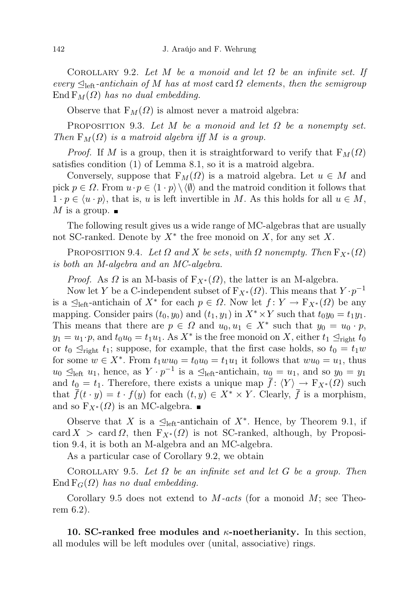COROLLARY 9.2. Let M be a monoid and let  $\Omega$  be an infinite set. If every  $\triangleq_{\text{left}}$ -antichain of M has at most card  $\Omega$  elements, then the semigroup End  $F_M(\Omega)$  has no dual embedding.

Observe that  $F_M(\Omega)$  is almost never a matroid algebra:

PROPOSITION 9.3. Let M be a monoid and let  $\Omega$  be a nonempty set. Then  $F_M(\Omega)$  is a matroid algebra iff M is a group.

*Proof.* If M is a group, then it is straightforward to verify that  $F_M(\Omega)$ satisfies condition (1) of Lemma 8.1, so it is a matroid algebra.

Conversely, suppose that  $F_M(\Omega)$  is a matroid algebra. Let  $u \in M$  and pick  $p \in \Omega$ . From  $u \cdot p \in \langle 1 \cdot p \rangle \setminus \langle \emptyset \rangle$  and the matroid condition it follows that  $1 \cdot p \in \langle u \cdot p \rangle$ , that is, u is left invertible in M. As this holds for all  $u \in M$ , M is a group.  $\blacksquare$ 

The following result gives us a wide range of MC-algebras that are usually not SC-ranked. Denote by  $X^*$  the free monoid on X, for any set X.

PROPOSITION 9.4. Let  $\Omega$  and X be sets, with  $\Omega$  nonempty. Then  $F_{X^*}(\Omega)$ is both an M-algebra and an MC-algebra.

*Proof.* As  $\Omega$  is an M-basis of  $F_{X^*}(\Omega)$ , the latter is an M-algebra.

Now let Y be a C-independent subset of  $F_{X^*}(Q)$ . This means that  $Y \cdot p^{-1}$ is a  $\trianglelefteq_{\text{left}}$ -antichain of  $X^*$  for each  $p \in \Omega$ . Now let  $f: Y \to F_{X^*}(\Omega)$  be any mapping. Consider pairs  $(t_0, y_0)$  and  $(t_1, y_1)$  in  $X^* \times Y$  such that  $t_0 y_0 = t_1 y_1$ . This means that there are  $p \in \Omega$  and  $u_0, u_1 \in X^*$  such that  $y_0 = u_0 \cdot p$ ,  $y_1 = u_1 \cdot p$ , and  $t_0 u_0 = t_1 u_1$ . As  $X^*$  is the free monoid on X, either  $t_1 \leq t_1 t_0$ or  $t_0 \leq_{\text{right}} t_1$ ; suppose, for example, that the first case holds, so  $t_0 = t_1w$ for some  $w \in X^*$ . From  $t_1 w u_0 = t_0 u_0 = t_1 u_1$  it follows that  $w u_0 = u_1$ , thus  $u_0 \trianglelefteq_{\text{left}} u_1$ , hence, as  $Y \cdot p^{-1}$  is a  $\trianglelefteq_{\text{left}}$ -antichain,  $u_0 = u_1$ , and so  $y_0 = y_1$ and  $t_0 = t_1$ . Therefore, there exists a unique map  $\overline{f} : \langle Y \rangle \to F_{X*}(\Omega)$  such that  $\bar{f}(t \cdot y) = t \cdot f(y)$  for each  $(t, y) \in X^* \times Y$ . Clearly,  $\bar{f}$  is a morphism, and so  $F_{X^*}(\Omega)$  is an MC-algebra.  $\blacksquare$ 

Observe that X is a  $\mathcal{L}_{\text{left}}$ -antichain of X<sup>\*</sup>. Hence, by Theorem 9.1, if card  $X > \text{card } \Omega$ , then  $F_{X^*}(\Omega)$  is not SC-ranked, although, by Proposition 9.4, it is both an M-algebra and an MC-algebra.

As a particular case of Corollary 9.2, we obtain

COROLLARY 9.5. Let  $\Omega$  be an infinite set and let G be a group. Then End  $F_G(\Omega)$  has no dual embedding.

Corollary 9.5 does not extend to  $M\text{-}acts$  (for a monoid  $M$ ; see Theorem 6.2).

10. SC-ranked free modules and  $\kappa$ -noetherianity. In this section, all modules will be left modules over (unital, associative) rings.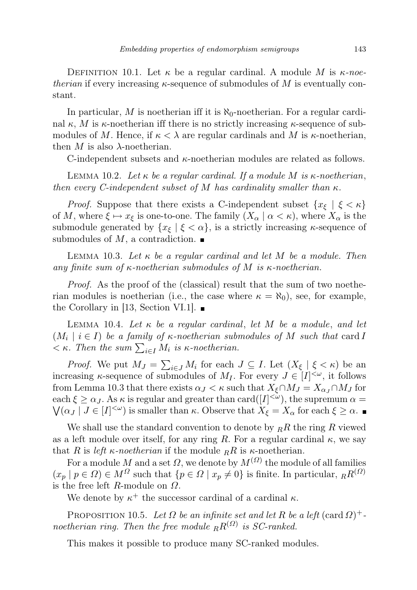DEFINITION 10.1. Let  $\kappa$  be a regular cardinal. A module M is  $\kappa$ -noetherian if every increasing  $\kappa$ -sequence of submodules of M is eventually constant.

In particular, M is noetherian iff it is  $\aleph_0$ -noetherian. For a regular cardinal  $\kappa$ , M is  $\kappa$ -noetherian iff there is no strictly increasing  $\kappa$ -sequence of submodules of M. Hence, if  $\kappa < \lambda$  are regular cardinals and M is  $\kappa$ -noetherian, then M is also  $\lambda$ -noetherian.

C-independent subsets and κ-noetherian modules are related as follows.

LEMMA 10.2. Let  $\kappa$  be a regular cardinal. If a module M is  $\kappa$ -noetherian, then every C-independent subset of M has cardinality smaller than  $\kappa$ .

*Proof.* Suppose that there exists a C-independent subset  $\{x_{\xi} \mid \xi < \kappa\}$ of M, where  $\xi \mapsto x_{\xi}$  is one-to-one. The family  $(X_{\alpha} \mid \alpha < \kappa)$ , where  $X_{\alpha}$  is the submodule generated by  $\{x_{\xi} \mid \xi < \alpha\}$ , is a strictly increasing  $\kappa$ -sequence of submodules of  $M$ , a contradiction.

LEMMA 10.3. Let  $\kappa$  be a regular cardinal and let M be a module. Then any finite sum of  $\kappa$ -noetherian submodules of M is  $\kappa$ -noetherian.

Proof. As the proof of the (classical) result that the sum of two noetherian modules is noetherian (i.e., the case where  $\kappa = \aleph_0$ ), see, for example, the Corollary in [13, Section VI.1].  $\blacksquare$ 

LEMMA 10.4. Let  $\kappa$  be a regular cardinal, let M be a module, and let  $(M_i \mid i \in I)$  be a family of  $\kappa$ -noetherian submodules of M such that card I  $\langle \kappa$ . Then the sum  $\sum_{i \in I} M_i$  is  $\kappa$ -noetherian.

*Proof.* We put  $M_J = \sum_{i \in J} M_i$  for each  $J \subseteq I$ . Let  $(X_{\xi} \mid \xi < \kappa)$  be an increasing  $\kappa$ -sequence of submodules of  $M_I$ . For every  $J \in [I]^{<\omega}$ , it follows from Lemma 10.3 that there exists  $\alpha_J < \kappa$  such that  $X_{\xi} \cap M_J = X_{\alpha_J} \cap M_J$  for each  $\xi \geq \alpha_J$ . As  $\kappa$  is regular and greater than card $([I]^{<\omega})$ , the supremum  $\alpha =$  $\bigvee(\alpha_J \mid J \in [I]^{<\omega})$  is smaller than  $\kappa$ . Observe that  $X_{\xi} = X_{\alpha}$  for each  $\xi \geq \alpha$ .

We shall use the standard convention to denote by  $_RR$  the ring R viewed as a left module over itself, for any ring R. For a regular cardinal  $\kappa$ , we say that R is left  $\kappa$ -noetherian if the module  $_R R$  is  $\kappa$ -noetherian.

For a module M and a set  $\Omega$ , we denote by  $M^{(\Omega)}$  the module of all families  $(x_p | p \in \Omega) \in M^{\Omega}$  such that  $\{p \in \Omega \mid x_p \neq 0\}$  is finite. In particular,  $_R R^{(\Omega)}$ is the free left  $R$ -module on  $\Omega$ .

We denote by  $\kappa^+$  the successor cardinal of a cardinal  $\kappa$ .

PROPOSITION 10.5. Let  $\Omega$  be an infinite set and let R be a left  $(\text{card } \Omega)^+$ . noetherian ring. Then the free module  $_R R^{(\Omega)}$  is SC-ranked.

This makes it possible to produce many SC-ranked modules.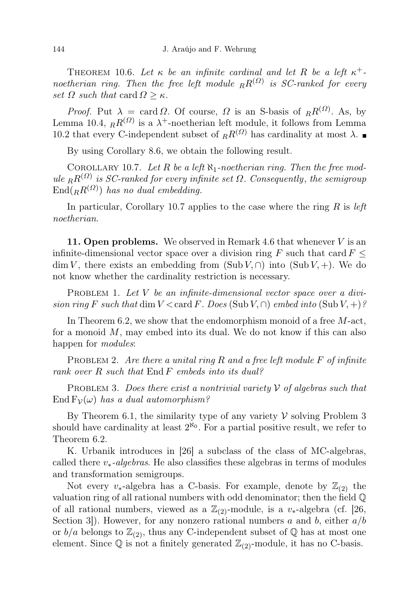THEOREM 10.6. Let  $\kappa$  be an infinite cardinal and let R be a left  $\kappa^+$ . noetherian ring. Then the free left module  $_R R^{(\Omega)}$  is SC-ranked for every set  $\Omega$  such that card  $\Omega \geq \kappa$ .

*Proof.* Put  $\lambda = \text{card } \Omega$ . Of course,  $\Omega$  is an S-basis of  $_R R^{(\Omega)}$ . As, by Lemma 10.4,  $_R R^{(\Omega)}$  is a  $\lambda^+$ -noetherian left module, it follows from Lemma 10.2 that every C-independent subset of  $<sub>R</sub>R$ <sup>(Ω)</sup> has cardinality at most λ. ■</sub>

By using Corollary 8.6, we obtain the following result.

COROLLARY 10.7. Let R be a left  $\aleph_1$ -noetherian ring. Then the free module  $_R R^{(\Omega)}$  is SC-ranked for every infinite set  $\Omega$ . Consequently, the semigroup  $\text{End}_{R}(R^{(\Omega)})$  has no dual embedding.

In particular, Corollary 10.7 applies to the case where the ring  $R$  is left noetherian.

**11. Open problems.** We observed in Remark 4.6 that whenever  $V$  is an infinite-dimensional vector space over a division ring F such that card  $F \leq$  $\dim V$ , there exists an embedding from  $(\text{Sub } V, \cap)$  into  $(\text{Sub } V, +)$ . We do not know whether the cardinality restriction is necessary.

PROBLEM 1. Let  $V$  be an infinite-dimensional vector space over a division ring F such that dim  $V < \text{card } F$ . Does (Sub  $V, \cap$ ) embed into (Sub  $V, +$ )?

In Theorem 6.2, we show that the endomorphism monoid of a free M-act, for a monoid  $M$ , may embed into its dual. We do not know if this can also happen for *modules*:

PROBLEM 2. Are there a unital ring  $R$  and a free left module  $F$  of infinite rank over R such that End F embeds into its dual?

PROBLEM 3. Does there exist a nontrivial variety  $\mathcal V$  of algebras such that End  $F_V(\omega)$  has a dual automorphism?

By Theorem 6.1, the similarity type of any variety  $\mathcal V$  solving Problem 3 should have cardinality at least  $2^{\aleph_0}$ . For a partial positive result, we refer to Theorem 6.2.

K. Urbanik introduces in [26] a subclass of the class of MC-algebras, called there  $v_*$ -algebras. He also classifies these algebras in terms of modules and transformation semigroups.

Not every  $v_*$ -algebra has a C-basis. For example, denote by  $\mathbb{Z}_{(2)}$  the valuation ring of all rational numbers with odd denominator; then the field Q of all rational numbers, viewed as a  $\mathbb{Z}_{(2)}$ -module, is a  $v_*$ -algebra (cf. [26, Section 3. However, for any nonzero rational numbers a and b, either  $a/b$ or  $b/a$  belongs to  $\mathbb{Z}_{(2)}$ , thus any C-independent subset of  $\mathbb{Q}$  has at most one element. Since  $\mathbb Q$  is not a finitely generated  $\mathbb Z_{(2)}$ -module, it has no C-basis.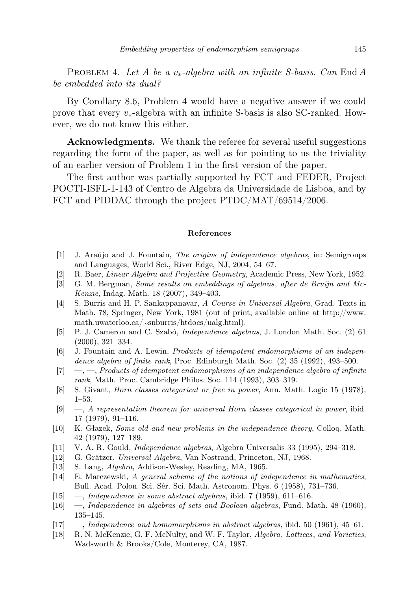PROBLEM 4. Let A be a v<sub>\*</sub>-algebra with an infinite S-basis. Can End A be embedded into its dual?

By Corollary 8.6, Problem 4 would have a negative answer if we could prove that every v∗-algebra with an infinite S-basis is also SC-ranked. However, we do not know this either.

Acknowledgments. We thank the referee for several useful suggestions regarding the form of the paper, as well as for pointing to us the triviality of an earlier version of Problem 1 in the first version of the paper.

The first author was partially supported by FCT and FEDER, Project POCTI-ISFL-1-143 of Centro de Algebra da Universidade de Lisboa, and by FCT and PIDDAC through the project PTDC/MAT/69514/2006.

## References

- [1] J. Araújo and J. Fountain, The origins of independence algebras, in: Semigroups and Languages, World Sci., River Edge, NJ, 2004, 54–67.
- [2] R. Baer, Linear Algebra and Projective Geometry, Academic Press, New York, 1952.
- [3] G. M. Bergman, Some results on embeddings of algebras, after de Bruijn and Mc-Kenzie, Indag. Math. 18 (2007), 349–403.
- [4] S. Burris and H. P. Sankappanavar, A Course in Universal Algebra, Grad. Texts in Math. 78, Springer, New York, 1981 (out of print, available online at http://www. math.uwaterloo.ca/∼snburris/htdocs/ualg.html).
- [5] P. J. Cameron and C. Szabó, Independence algebras, J. London Math. Soc. (2) 61 (2000), 321–334.
- [6] J. Fountain and A. Lewin, Products of idempotent endomorphisms of an independence algebra of finite rank, Proc. Edinburgh Math. Soc.  $(2)$  35 (1992), 493–500.
- $[7] \quad -,-$ , Products of idempotent endomorphisms of an independence algebra of infinite rank, Math. Proc. Cambridge Philos. Soc. 114 (1993), 303–319.
- [8] S. Givant, Horn classes categorical or free in power, Ann. Math. Logic 15 (1978), 1–53.
- [9] —, A representation theorem for universal Horn classes categorical in power, ibid. 17 (1979), 91–116.
- [10] K. Głazek, Some old and new problems in the independence theory, Colloq. Math. 42 (1979), 127–189.
- [11] V. A. R. Gould, Independence algebras, Algebra Universalis 33 (1995), 294–318.
- [12] G. Grätzer, Universal Algebra, Van Nostrand, Princeton, NJ, 1968.
- [13] S. Lang, Algebra, Addison-Wesley, Reading, MA, 1965.
- [14] E. Marczewski, A general scheme of the notions of independence in mathematics, Bull. Acad. Polon. Sci. Sér. Sci. Math. Astronom. Phys. 6 (1958), 731–736.
- $[15] \quad -$ , *Independence in some abstract algebras*, ibid. 7 (1959), 611–616.
- [16] —, Independence in algebras of sets and Boolean algebras, Fund. Math. 48 (1960), 135–145.
- [17] —, Independence and homomorphisms in abstract algebras, ibid. 50 (1961), 45–61.
- [18] R. N. McKenzie, G. F. McNulty, and W. F. Taylor, Algebra, Lattices, and Varieties, Wadsworth & Brooks/Cole, Monterey, CA, 1987.